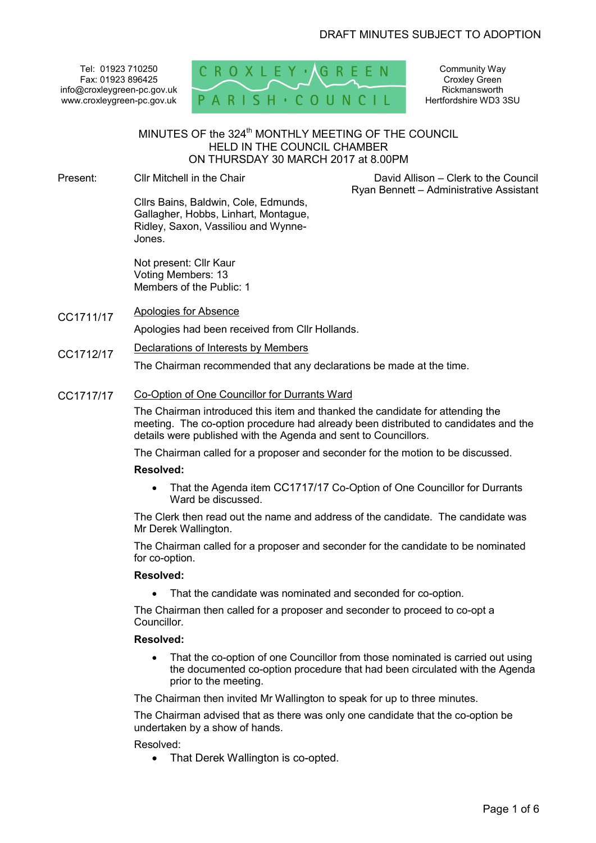Tel: 01923 710250 Fax: 01923 896425 info@croxleygreen-pc.gov.uk www.croxleygreen-pc.gov.uk



Community Way Croxley Green **Rickmansworth** Hertfordshire WD3 3SU

# MINUTES OF the 324<sup>th</sup> MONTHLY MEETING OF THE COUNCIL HELD IN THE COUNCIL CHAMBER ON THURSDAY 30 MARCH 2017 at 8.00PM

Present: Cllr Mitchell in the Chair

 David Allison – Clerk to the Council Ryan Bennett – Administrative Assistant

Cllrs Bains, Baldwin, Cole, Edmunds, Gallagher, Hobbs, Linhart, Montague, Ridley, Saxon, Vassiliou and Wynne-Jones.

Not present: Cllr Kaur Voting Members: 13 Members of the Public: 1

CC1711/17 Apologies for Absence

Apologies had been received from Cllr Hollands.

CC1712/17 Declarations of Interests by Members

The Chairman recommended that any declarations be made at the time.

#### CC1717/17 Co-Option of One Councillor for Durrants Ward

The Chairman introduced this item and thanked the candidate for attending the meeting. The co-option procedure had already been distributed to candidates and the details were published with the Agenda and sent to Councillors.

The Chairman called for a proposer and seconder for the motion to be discussed.

#### **Resolved:**

• That the Agenda item CC1717/17 Co-Option of One Councillor for Durrants Ward be discussed.

The Clerk then read out the name and address of the candidate. The candidate was Mr Derek Wallington.

The Chairman called for a proposer and seconder for the candidate to be nominated for co-option.

### **Resolved:**

• That the candidate was nominated and seconded for co-option.

The Chairman then called for a proposer and seconder to proceed to co-opt a **Councillor** 

## **Resolved:**

• That the co-option of one Councillor from those nominated is carried out using the documented co-option procedure that had been circulated with the Agenda prior to the meeting.

The Chairman then invited Mr Wallington to speak for up to three minutes.

The Chairman advised that as there was only one candidate that the co-option be undertaken by a show of hands.

## Resolved:

• That Derek Wallington is co-opted.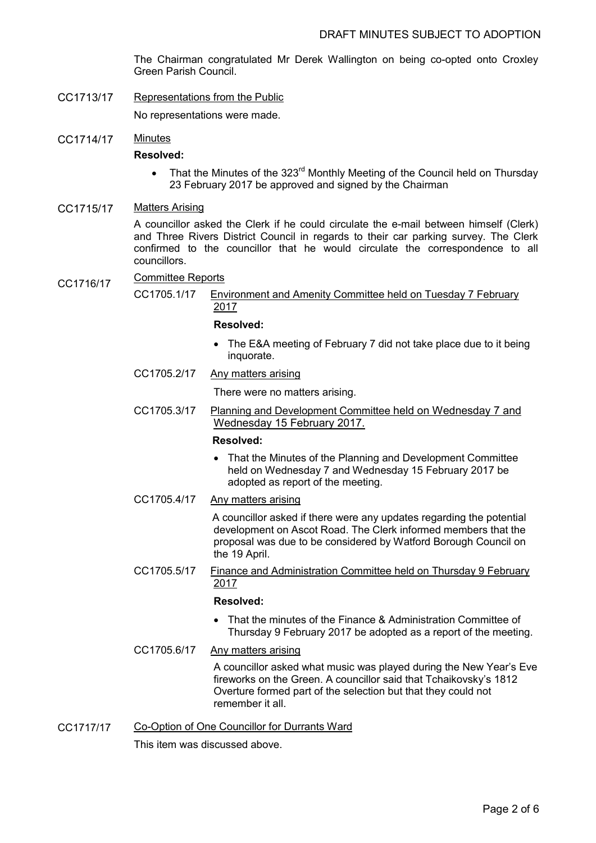The Chairman congratulated Mr Derek Wallington on being co-opted onto Croxley Green Parish Council.

CC1713/17 Representations from the Public

No representations were made.

CC1714/17 Minutes

## **Resolved:**

- That the Minutes of the  $323^{\text{rd}}$  Monthly Meeting of the Council held on Thursday 23 February 2017 be approved and signed by the Chairman
- CC1715/17 Matters Arising

A councillor asked the Clerk if he could circulate the e-mail between himself (Clerk) and Three Rivers District Council in regards to their car parking survey. The Clerk confirmed to the councillor that he would circulate the correspondence to all councillors.

- CC1716/17 Committee Reports<br>CC1705.1/17 Env
	- Environment and Amenity Committee held on Tuesday 7 February 2017

### **Resolved:**

- The E&A meeting of February 7 did not take place due to it being inquorate.
- CC1705.2/17 Any matters arising

There were no matters arising.

CC1705.3/17 Planning and Development Committee held on Wednesday 7 and Wednesday 15 February 2017.

## **Resolved:**

- That the Minutes of the Planning and Development Committee held on Wednesday 7 and Wednesday 15 February 2017 be adopted as report of the meeting.
- CC1705.4/17 Any matters arising

 A councillor asked if there were any updates regarding the potential development on Ascot Road. The Clerk informed members that the proposal was due to be considered by Watford Borough Council on the 19 April.

CC1705.5/17 Finance and Administration Committee held on Thursday 9 February 2017

## **Resolved:**

- That the minutes of the Finance & Administration Committee of Thursday 9 February 2017 be adopted as a report of the meeting.
- CC1705.6/17 Any matters arising

A councillor asked what music was played during the New Year's Eve fireworks on the Green. A councillor said that Tchaikovsky's 1812 Overture formed part of the selection but that they could not remember it all.

CC1717/17 Co-Option of One Councillor for Durrants Ward

This item was discussed above.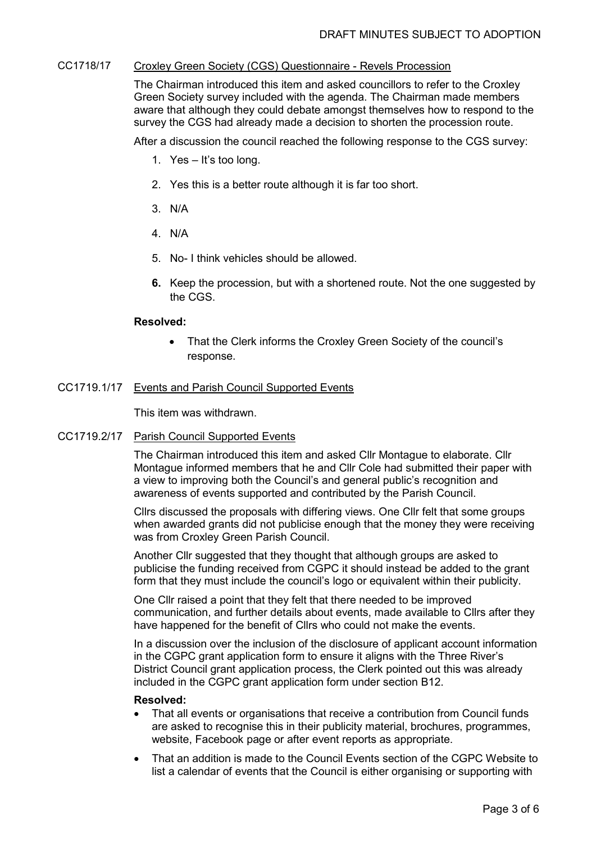## CC1718/17 Croxley Green Society (CGS) Questionnaire - Revels Procession

The Chairman introduced this item and asked councillors to refer to the Croxley Green Society survey included with the agenda. The Chairman made members aware that although they could debate amongst themselves how to respond to the survey the CGS had already made a decision to shorten the procession route.

After a discussion the council reached the following response to the CGS survey:

- 1. Yes It's too long.
- 2. Yes this is a better route although it is far too short.
- 3. N/A
- 4. N/A
- 5. No- I think vehicles should be allowed.
- **6.** Keep the procession, but with a shortened route. Not the one suggested by the CGS.

#### **Resolved:**

• That the Clerk informs the Croxley Green Society of the council's response.

#### CC1719.1/17 Events and Parish Council Supported Events

This item was withdrawn.

### CC1719.2/17 Parish Council Supported Events

The Chairman introduced this item and asked Cllr Montague to elaborate. Cllr Montague informed members that he and Cllr Cole had submitted their paper with a view to improving both the Council's and general public's recognition and awareness of events supported and contributed by the Parish Council.

Cllrs discussed the proposals with differing views. One Cllr felt that some groups when awarded grants did not publicise enough that the money they were receiving was from Croxley Green Parish Council.

Another Cllr suggested that they thought that although groups are asked to publicise the funding received from CGPC it should instead be added to the grant form that they must include the council's logo or equivalent within their publicity.

One Cllr raised a point that they felt that there needed to be improved communication, and further details about events, made available to Cllrs after they have happened for the benefit of Cllrs who could not make the events.

In a discussion over the inclusion of the disclosure of applicant account information in the CGPC grant application form to ensure it aligns with the Three River's District Council grant application process, the Clerk pointed out this was already included in the CGPC grant application form under section B12.

#### **Resolved:**

- That all events or organisations that receive a contribution from Council funds are asked to recognise this in their publicity material, brochures, programmes, website, Facebook page or after event reports as appropriate.
- That an addition is made to the Council Events section of the CGPC Website to list a calendar of events that the Council is either organising or supporting with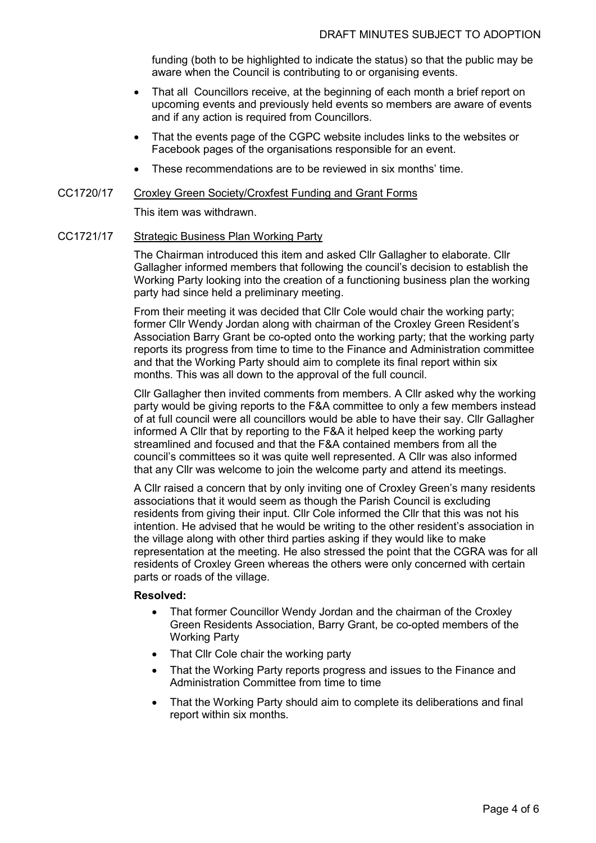funding (both to be highlighted to indicate the status) so that the public may be aware when the Council is contributing to or organising events.

- That all Councillors receive, at the beginning of each month a brief report on upcoming events and previously held events so members are aware of events and if any action is required from Councillors.
- That the events page of the CGPC website includes links to the websites or Facebook pages of the organisations responsible for an event.
- These recommendations are to be reviewed in six months' time.

#### CC1720/17 Croxley Green Society/Croxfest Funding and Grant Forms

This item was withdrawn.

#### CC1721/17 Strategic Business Plan Working Party

The Chairman introduced this item and asked Cllr Gallagher to elaborate. Cllr Gallagher informed members that following the council's decision to establish the Working Party looking into the creation of a functioning business plan the working party had since held a preliminary meeting.

From their meeting it was decided that Cllr Cole would chair the working party; former Cllr Wendy Jordan along with chairman of the Croxley Green Resident's Association Barry Grant be co-opted onto the working party; that the working party reports its progress from time to time to the Finance and Administration committee and that the Working Party should aim to complete its final report within six months. This was all down to the approval of the full council.

Cllr Gallagher then invited comments from members. A Cllr asked why the working party would be giving reports to the F&A committee to only a few members instead of at full council were all councillors would be able to have their say. Cllr Gallagher informed A Cllr that by reporting to the F&A it helped keep the working party streamlined and focused and that the F&A contained members from all the council's committees so it was quite well represented. A Cllr was also informed that any Cllr was welcome to join the welcome party and attend its meetings.

A Cllr raised a concern that by only inviting one of Croxley Green's many residents associations that it would seem as though the Parish Council is excluding residents from giving their input. Cllr Cole informed the Cllr that this was not his intention. He advised that he would be writing to the other resident's association in the village along with other third parties asking if they would like to make representation at the meeting. He also stressed the point that the CGRA was for all residents of Croxley Green whereas the others were only concerned with certain parts or roads of the village.

## **Resolved:**

- That former Councillor Wendy Jordan and the chairman of the Croxley Green Residents Association, Barry Grant, be co-opted members of the Working Party
- That Cllr Cole chair the working party
- That the Working Party reports progress and issues to the Finance and Administration Committee from time to time
- That the Working Party should aim to complete its deliberations and final report within six months.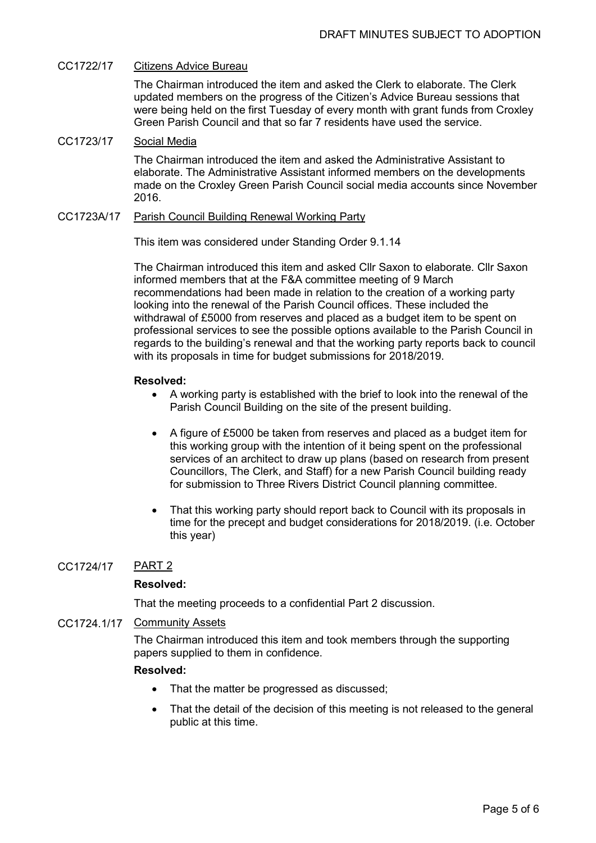## CC1722/17 Citizens Advice Bureau

The Chairman introduced the item and asked the Clerk to elaborate. The Clerk updated members on the progress of the Citizen's Advice Bureau sessions that were being held on the first Tuesday of every month with grant funds from Croxley Green Parish Council and that so far 7 residents have used the service.

## CC1723/17 Social Media

The Chairman introduced the item and asked the Administrative Assistant to elaborate. The Administrative Assistant informed members on the developments made on the Croxley Green Parish Council social media accounts since November 2016.

#### CC1723A/17 Parish Council Building Renewal Working Party

This item was considered under Standing Order 9.1.14

The Chairman introduced this item and asked Cllr Saxon to elaborate. Cllr Saxon informed members that at the F&A committee meeting of 9 March recommendations had been made in relation to the creation of a working party looking into the renewal of the Parish Council offices. These included the withdrawal of £5000 from reserves and placed as a budget item to be spent on professional services to see the possible options available to the Parish Council in regards to the building's renewal and that the working party reports back to council with its proposals in time for budget submissions for 2018/2019.

## **Resolved:**

- A working party is established with the brief to look into the renewal of the Parish Council Building on the site of the present building.
- A figure of £5000 be taken from reserves and placed as a budget item for this working group with the intention of it being spent on the professional services of an architect to draw up plans (based on research from present Councillors, The Clerk, and Staff) for a new Parish Council building ready for submission to Three Rivers District Council planning committee.
- That this working party should report back to Council with its proposals in time for the precept and budget considerations for 2018/2019. (i.e. October this year)

## CC1724/17 PART 2

## **Resolved:**

That the meeting proceeds to a confidential Part 2 discussion.

## CC1724.1/17 Community Assets

The Chairman introduced this item and took members through the supporting papers supplied to them in confidence.

## **Resolved:**

- That the matter be progressed as discussed;
- That the detail of the decision of this meeting is not released to the general public at this time.